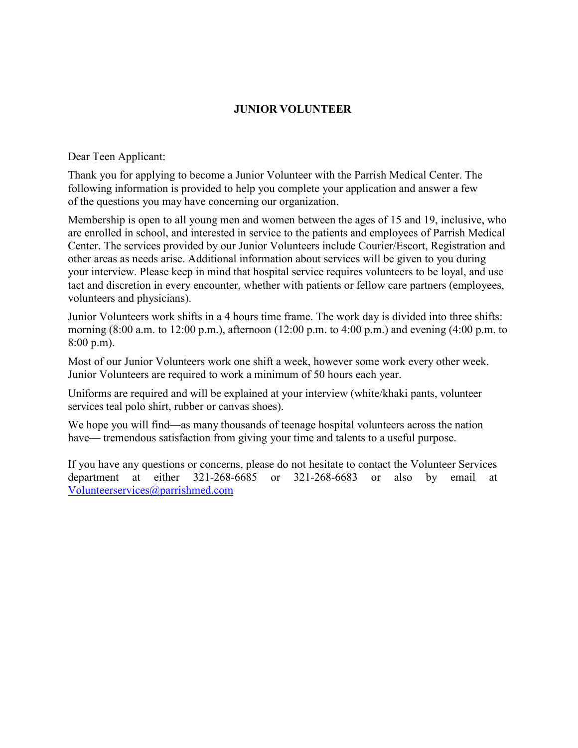### **JUNIOR VOLUNTEER**

Dear Teen Applicant:

Thank you for applying to become a Junior Volunteer with the Parrish Medical Center. The following information is provided to help you complete your application and answer a few of the questions you may have concerning our organization.

Membership is open to all young men and women between the ages of 15 and 19, inclusive, who are enrolled in school, and interested in service to the patients and employees of Parrish Medical Center. The services provided by our Junior Volunteers include Courier/Escort, Registration and other areas as needs arise. Additional information about services will be given to you during your interview. Please keep in mind that hospital service requires volunteers to be loyal, and use tact and discretion in every encounter, whether with patients or fellow care partners (employees, volunteers and physicians).

Junior Volunteers work shifts in a 4 hours time frame. The work day is divided into three shifts: morning (8:00 a.m. to 12:00 p.m.), afternoon (12:00 p.m. to 4:00 p.m.) and evening (4:00 p.m. to 8:00 p.m).

Most of our Junior Volunteers work one shift a week, however some work every other week. Junior Volunteers are required to work a minimum of 50 hours each year.

Uniforms are required and will be explained at your interview (white/khaki pants, volunteer services teal polo shirt, rubber or canvas shoes).

We hope you will find—as many thousands of teenage hospital volunteers across the nation have— tremendous satisfaction from giving your time and talents to a useful purpose.

If you have any questions or concerns, please do not hesitate to contact the Volunteer Services department at either 321-268-6685 or 321-268-6683 or also by email at [Volunteerservices@parrishmed.com](mailto:Volunteerservices@parrishmed.com)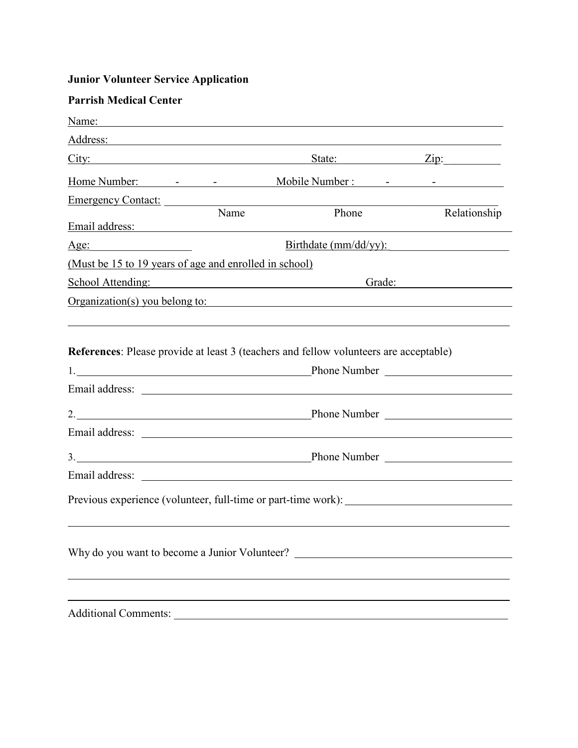# **Junior Volunteer Service Application**

| <b>Parrish Medical Center</b>                                                                                                                                                                                                 |                                                                                                                                                                                                                                                     |                                                                                  |                       |
|-------------------------------------------------------------------------------------------------------------------------------------------------------------------------------------------------------------------------------|-----------------------------------------------------------------------------------------------------------------------------------------------------------------------------------------------------------------------------------------------------|----------------------------------------------------------------------------------|-----------------------|
| Name: Name:                                                                                                                                                                                                                   |                                                                                                                                                                                                                                                     |                                                                                  |                       |
| Address: Address:                                                                                                                                                                                                             |                                                                                                                                                                                                                                                     |                                                                                  |                       |
|                                                                                                                                                                                                                               |                                                                                                                                                                                                                                                     |                                                                                  | State: <u>Zip:</u>    |
|                                                                                                                                                                                                                               |                                                                                                                                                                                                                                                     |                                                                                  |                       |
| Emergency Contact:                                                                                                                                                                                                            |                                                                                                                                                                                                                                                     |                                                                                  |                       |
| Email address: Note and the set of the set of the set of the set of the set of the set of the set of the set of the set of the set of the set of the set of the set of the set of the set of the set of the set of the set of | $\overline{\text{Name}}$                                                                                                                                                                                                                            | Phone                                                                            | Relationship          |
|                                                                                                                                                                                                                               |                                                                                                                                                                                                                                                     |                                                                                  | Birthdate (mm/dd/yy): |
| (Must be 15 to 19 years of age and enrolled in school)                                                                                                                                                                        |                                                                                                                                                                                                                                                     |                                                                                  |                       |
|                                                                                                                                                                                                                               | School Attending:<br>Grade: The Contract of the Contract of the Contract of the Contract of the Contract of the Contract of the Contract of the Contract of the Contract of the Contract of the Contract of the Contract of the Contract of the Con |                                                                                  |                       |
|                                                                                                                                                                                                                               |                                                                                                                                                                                                                                                     | Organization(s) you belong to:                                                   |                       |
|                                                                                                                                                                                                                               |                                                                                                                                                                                                                                                     |                                                                                  |                       |
|                                                                                                                                                                                                                               |                                                                                                                                                                                                                                                     |                                                                                  |                       |
|                                                                                                                                                                                                                               |                                                                                                                                                                                                                                                     |                                                                                  |                       |
|                                                                                                                                                                                                                               |                                                                                                                                                                                                                                                     |                                                                                  |                       |
|                                                                                                                                                                                                                               |                                                                                                                                                                                                                                                     |                                                                                  |                       |
|                                                                                                                                                                                                                               |                                                                                                                                                                                                                                                     | Previous experience (volunteer, full-time or part-time work): __________________ |                       |
|                                                                                                                                                                                                                               |                                                                                                                                                                                                                                                     |                                                                                  |                       |
|                                                                                                                                                                                                                               |                                                                                                                                                                                                                                                     | Why do you want to become a Junior Volunteer? __________________________________ |                       |
|                                                                                                                                                                                                                               |                                                                                                                                                                                                                                                     |                                                                                  |                       |
|                                                                                                                                                                                                                               |                                                                                                                                                                                                                                                     |                                                                                  |                       |

Additional Comments: \_\_\_\_\_\_\_\_\_\_\_\_\_\_\_\_\_\_\_\_\_\_\_\_\_\_\_\_\_\_\_\_\_\_\_\_\_\_\_\_\_\_\_\_\_\_\_\_\_\_\_\_\_\_\_\_\_\_\_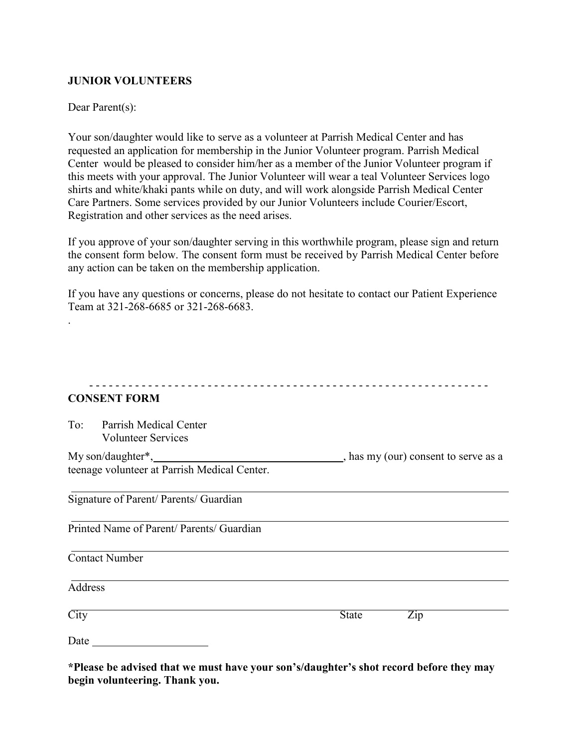#### **JUNIOR VOLUNTEERS**

#### Dear Parent(s):

.

Your son/daughter would like to serve as a volunteer at Parrish Medical Center and has requested an application for membership in the Junior Volunteer program. Parrish Medical Center would be pleased to consider him/her as a member of the Junior Volunteer program if this meets with your approval. The Junior Volunteer will wear a teal Volunteer Services logo shirts and white/khaki pants while on duty, and will work alongside Parrish Medical Center Care Partners. Some services provided by our Junior Volunteers include Courier/Escort, Registration and other services as the need arises.

If you approve of your son/daughter serving in this worthwhile program, please sign and return the consent form below. The consent form must be received by Parrish Medical Center before any action can be taken on the membership application.

If you have any questions or concerns, please do not hesitate to contact our Patient Experience Team at 321-268-6685 or 321-268-6683.

| <b>CONSENT FORM</b>                                               |                                    |
|-------------------------------------------------------------------|------------------------------------|
| Parrish Medical Center<br>To:<br><b>Volunteer Services</b>        |                                    |
| My son/daughter*,<br>teenage volunteer at Parrish Medical Center. | has my (our) consent to serve as a |
| Signature of Parent/ Parents/ Guardian                            |                                    |
| Printed Name of Parent/ Parents/ Guardian                         |                                    |
| <b>Contact Number</b>                                             |                                    |
| <b>Address</b>                                                    |                                    |
| $\overline{City}$                                                 | $\overline{Zip}$<br><b>State</b>   |
| Date                                                              |                                    |

**\*Please be advised that we must have your son's/daughter's shot record before they may begin volunteering. Thank you.**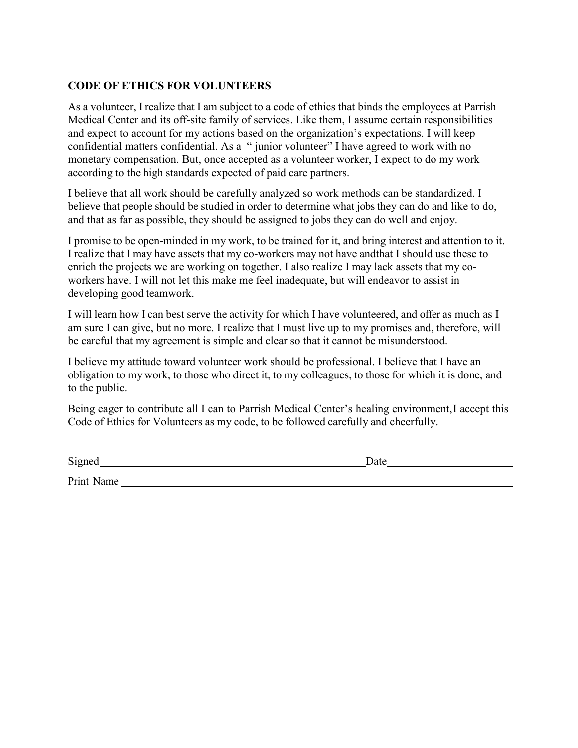# **CODE OF ETHICS FOR VOLUNTEERS**

As a volunteer, I realize that I am subject to a code of ethics that binds the employees at Parrish Medical Center and its off-site family of services. Like them, I assume certain responsibilities and expect to account for my actions based on the organization's expectations. I will keep confidential matters confidential. As a " junior volunteer" I have agreed to work with no monetary compensation. But, once accepted as a volunteer worker, I expect to do my work according to the high standards expected of paid care partners.

I believe that all work should be carefully analyzed so work methods can be standardized. I believe that people should be studied in order to determine what jobs they can do and like to do, and that as far as possible, they should be assigned to jobs they can do well and enjoy.

I promise to be open-minded in my work, to be trained for it, and bring interest and attention to it. I realize that I may have assets that my co-workers may not have andthat I should use these to enrich the projects we are working on together. I also realize I may lack assets that my coworkers have. I will not let this make me feel inadequate, but will endeavor to assist in developing good teamwork.

I will learn how I can best serve the activity for which I have volunteered, and offer as much as I am sure I can give, but no more. I realize that I must live up to my promises and, therefore, will be careful that my agreement is simple and clear so that it cannot be misunderstood.

I believe my attitude toward volunteer work should be professional. I believe that I have an obligation to my work, to those who direct it, to my colleagues, to those for which it is done, and to the public.

Being eager to contribute all I can to Parrish Medical Center's healing environment,I accept this Code of Ethics for Volunteers as my code, to be followed carefully and cheerfully.

| Signed | $1 - 4$<br>Date |
|--------|-----------------|
|        |                 |

Print Name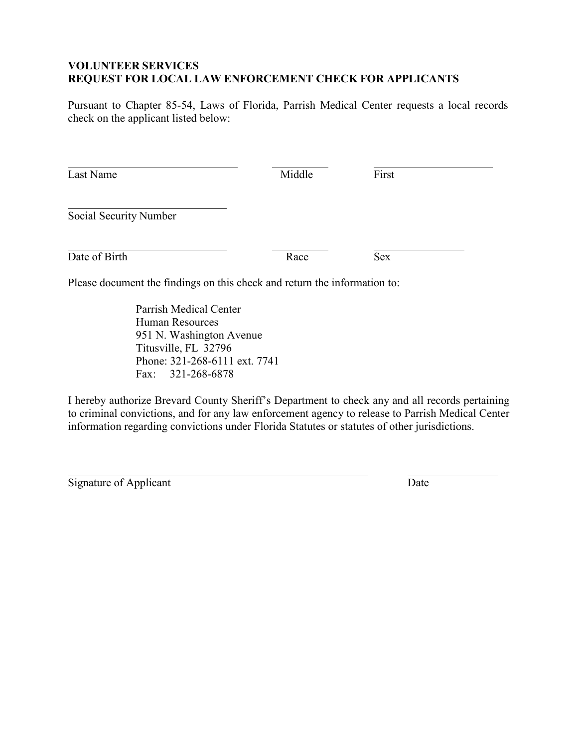### **VOLUNTEER SERVICES REQUEST FOR LOCAL LAW ENFORCEMENT CHECK FOR APPLICANTS**

Pursuant to Chapter 85-54, Laws of Florida, Parrish Medical Center requests a local records check on the applicant listed below:

| Last Name                                                                 | Middle | First      |  |
|---------------------------------------------------------------------------|--------|------------|--|
| Social Security Number                                                    |        |            |  |
| Date of Birth                                                             | Race   | <b>Sex</b> |  |
| Please document the findings on this check and return the information to: |        |            |  |

Parrish Medical Center Human Resources 951 N. Washington Avenue Titusville, FL 32796 Phone: 321-268-6111 ext. 7741 Fax: 321-268-6878

I hereby authorize Brevard County Sheriff's Department to check any and all records pertaining to criminal convictions, and for any law enforcement agency to release to Parrish Medical Center information regarding convictions under Florida Statutes or statutes of other jurisdictions.

Signature of Applicant Date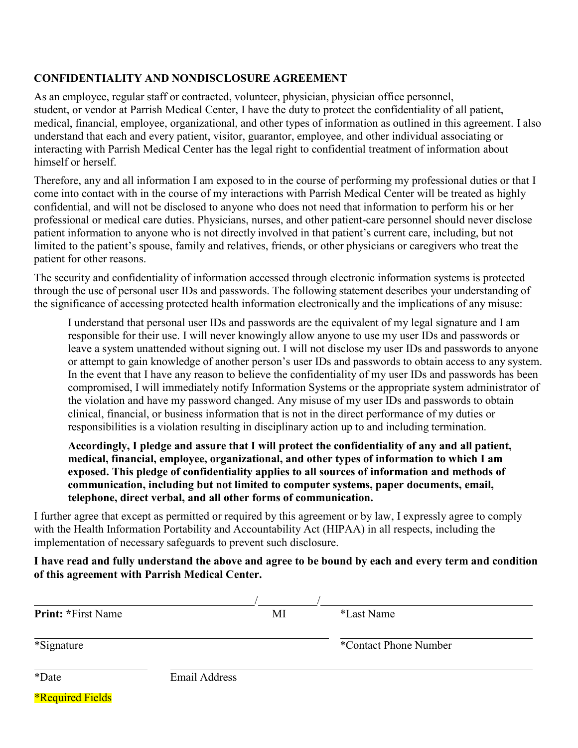# **CONFIDENTIALITY AND NONDISCLOSURE AGREEMENT**

As an employee, regular staff or contracted, volunteer, physician, physician office personnel, student, or vendor at Parrish Medical Center, I have the duty to protect the confidentiality of all patient, medical, financial, employee, organizational, and other types of information as outlined in this agreement. I also understand that each and every patient, visitor, guarantor, employee, and other individual associating or interacting with Parrish Medical Center has the legal right to confidential treatment of information about himself or herself.

Therefore, any and all information I am exposed to in the course of performing my professional duties or that I come into contact with in the course of my interactions with Parrish Medical Center will be treated as highly confidential, and will not be disclosed to anyone who does not need that information to perform his or her professional or medical care duties. Physicians, nurses, and other patient-care personnel should never disclose patient information to anyone who is not directly involved in that patient's current care, including, but not limited to the patient's spouse, family and relatives, friends, or other physicians or caregivers who treat the patient for other reasons.

The security and confidentiality of information accessed through electronic information systems is protected through the use of personal user IDs and passwords. The following statement describes your understanding of the significance of accessing protected health information electronically and the implications of any misuse:

I understand that personal user IDs and passwords are the equivalent of my legal signature and I am responsible for their use. I will never knowingly allow anyone to use my user IDs and passwords or leave a system unattended without signing out. I will not disclose my user IDs and passwords to anyone or attempt to gain knowledge of another person's user IDs and passwords to obtain access to any system. In the event that I have any reason to believe the confidentiality of my user IDs and passwords has been compromised, I will immediately notify Information Systems or the appropriate system administrator of the violation and have my password changed. Any misuse of my user IDs and passwords to obtain clinical, financial, or business information that is not in the direct performance of my duties or responsibilities is a violation resulting in disciplinary action up to and including termination.

**Accordingly, I pledge and assure that I will protect the confidentiality of any and all patient, medical, financial, employee, organizational, and other types of information to which I am exposed. This pledge of confidentiality applies to all sources of information and methods of communication, including but not limited to computer systems, paper documents, email, telephone, direct verbal, and all other forms of communication.**

I further agree that except as permitted or required by this agreement or by law, I expressly agree to comply with the Health Information Portability and Accountability Act (HIPAA) in all respects, including the implementation of necessary safeguards to prevent such disclosure.

#### **I have read and fully understand the above and agree to be bound by each and every term and condition of this agreement with Parrish Medical Center.**

| <b>Print: *First Name</b> |                      | MI | *Last Name            |
|---------------------------|----------------------|----|-----------------------|
| *Signature                |                      |    | *Contact Phone Number |
| *Date                     | <b>Email Address</b> |    |                       |
| <b>*Required Fields</b>   |                      |    |                       |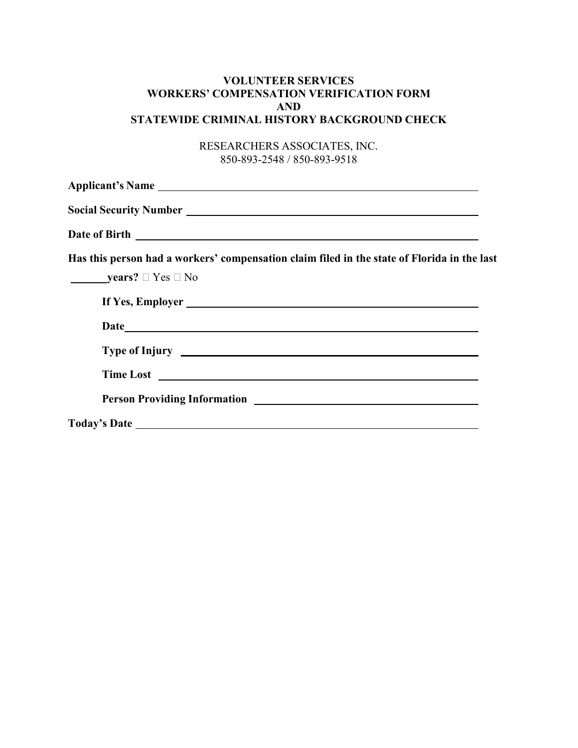### **VOLUNTEER SERVICES WORKERS' COMPENSATION VERIFICATION FORM AND STATEWIDE CRIMINAL HISTORY BACKGROUND CHECK**

RESEARCHERS ASSOCIATES, INC. 850-893-2548 / 850-893-9518

| Has this person had a workers' compensation claim filed in the state of Florida in the last<br><b>years?</b> $\Box$ Yes $\Box$ No                                                                                                    |
|--------------------------------------------------------------------------------------------------------------------------------------------------------------------------------------------------------------------------------------|
| If Yes, Employer                                                                                                                                                                                                                     |
| Type of Injury <u>example and the set of the set of the set of the set of the set of the set of the set of the set of the set of the set of the set of the set of the set of the set of the set of the set of the set of the set</u> |
| Time Lost                                                                                                                                                                                                                            |
|                                                                                                                                                                                                                                      |
|                                                                                                                                                                                                                                      |